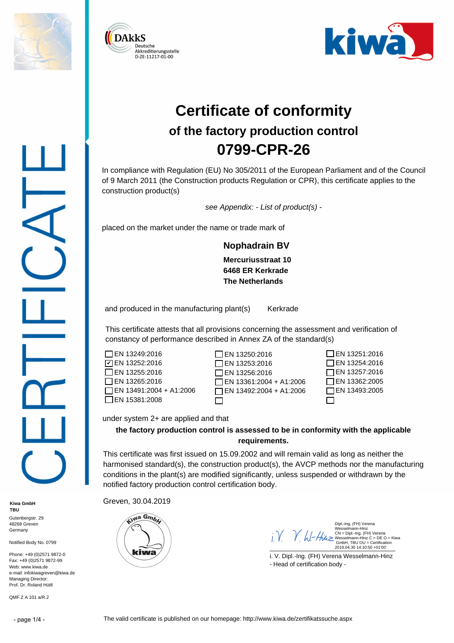





#### **Certificate of conformity of the factory production control 0799-CPR-26**

In compliance with Regulation (EU) No 305/2011 of the European Parliament and of the Council of 9 March 2011 (the Construction products Regulation or CPR), this certificate applies to the construction product(s)

*see Appendix: - List of product(s) -*

**Nophadrain BV**

**Mercuriusstraat 10 6468 ER Kerkrade The Netherlands**

and produced in the manufacturing plant(s) Kerkrade

This certificate attests that all provisions concerning the assessment and verification of constancy of performance described in Annex ZA of the standard(s)

| □EN 13249:2016           |  |
|--------------------------|--|
| <b>アEN 13252:2016</b>    |  |
| $\Box$ EN 13255:2016     |  |
| $\Box$ EN 13265:2016     |  |
| □EN 13491:2004 + A1:2006 |  |
| $\Box$ EN 15381:2008     |  |
|                          |  |

| L LEN 13250:2016         |
|--------------------------|
| □EN 13253:2016           |
| $\Box$ EN 13256:2016     |
| □EN 13361:2004 + A1:2006 |
| EN 13492:2004 + A1:2006  |
| $\mathbf{I}$             |

|              | □EN 13251:2016 |
|--------------|----------------|
|              | □EN 13254:2016 |
|              | □EN 13257:2016 |
|              | □EN 13362:2005 |
|              | □EN 13493:2005 |
| $\mathsf{L}$ |                |

under system 2+ are applied and that

#### **the factory production control is assessed to be in conformity with the applicable requirements.**

This certificate was first issued on 15.09.2002 and will remain valid as long as neither the harmonised standard(s), the construction product(s), the AVCP methods nor the manufacturing conditions in the plant(s) are modified significantly, unless suspended or withdrawn by the placed on the market under the name or trade mark of<br> **Nophadrain B'**<br>
Mercuriusstraat<br> **16468 ER Kerkrad**<br> **16468 ER Kerkrad<br>
This certificate attests that all provisions concerning to<br>
contancy of performance described** 

Greven, 30.04.2019

| Kiwa GmbH<br>TBU                                                                                                                                            | OIUVUII, UU.UT.LUTU |                                                                                              |
|-------------------------------------------------------------------------------------------------------------------------------------------------------------|---------------------|----------------------------------------------------------------------------------------------|
| Gutenbergstr. 29<br>48268 Greven<br>Germany                                                                                                                 | <b>Kiwa GmbL</b>    | Dipl.-Ing.<br>Wesselma<br>$i.\gamma$ $\gamma$ $\omega$ -High Wesselm                         |
| Notified Body No. 0799                                                                                                                                      |                     | 2019.04.3                                                                                    |
| Phone: +49 (0)2571 9872-0<br>Fax: +49 (0)2571 9872-99<br>Web: www.kiwa.de<br>e-mail: infokiwagreven@kiwa.de<br>Managing Director:<br>Prof. Dr. Roland Hüttl | kiwa                | i. V. Dipl.-Ing. (FH) Verena We<br>- Head of certification body -                            |
| QMF Z A 101 a/R.2                                                                                                                                           |                     |                                                                                              |
| - page 1/4 -                                                                                                                                                |                     | The valid certificate is published on our homepage: http://www.kiwa.de/zertifikatssuche.aspx |

Dipl.-Ing. (FH) Verena<br>Wesselmann-Hinz Wesselmann-Hinz<br>
CN = Dipl.-1 m = Dipl.- Ing. (FH) Verena<br>
CmbH, TBU OU = Certification<br>
2019.04.30 14:10:50 +01'00'

i. V. Dipl.-Ing. (FH) Verena Wesselmann-Hinz - Head of certification body -

Gutenbergstr. 29 48268 Greven Germany

**TBU**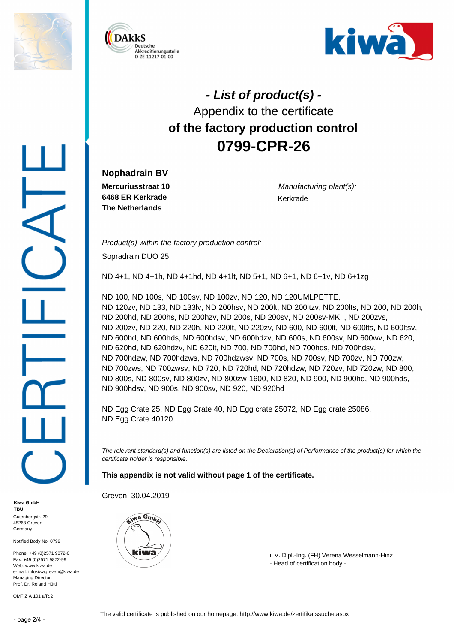





# *- List of product(s) -* Appendix to the certificate **of the factory production control**

**Nophadrain BV**

**Mercuriusstraat 10 6468 ER Kerkrade The Netherlands**

*Manufacturing plant(s):* Kerkrade

*Product(s) within the factory production control:* Sopradrain DUO 25

ND 4+1, ND 4+1h, ND 4+1hd, ND 4+1lt, ND 5+1, ND 6+1, ND 6+1v, ND 6+1zg

ND 100, ND 100s, ND 100sv, ND 100zv, ND 120, ND 120UMLPETTE, ND 120zv, ND 133, ND 133lv, ND 200hsv, ND 200lt, ND 200ltzv, ND 200lts, ND 200, ND 200h, ND 200hd, ND 200hs, ND 200hzv, ND 200s, ND 200sv, ND 200sv-MKII, ND 200zvs, ND 200zv, ND 220, ND 220h, ND 220lt, ND 220zv, ND 600, ND 600lt, ND 600lts, ND 600ltsv, ND 600hd, ND 600hds, ND 600hdsv, ND 600hdzv, ND 600s, ND 600sv, ND 600wv, ND 620, ND 620hd, ND 620hdzv, ND 620lt, ND 700, ND 700hd, ND 700hds, ND 700hdsv, ND 700hdzw, ND 700hdzws, ND 700hdzwsv, ND 700s, ND 700sv, ND 700zv, ND 700zw, ND 700zws, ND 700zwsv, ND 720, ND 720hd, ND 720hdzw, ND 720zv, ND 720zw, ND 800, ND 800s, ND 800sv, ND 800zv, ND 800zw-1600, ND 820, ND 900, ND 900hd, ND 900hds, ND 900hdsv, ND 900s, ND 900sv, ND 920, ND 920hd **COTER-26**<br>
Mencuriusstraat 10<br>
Mencuriusstraat 10<br>
Mencuriusstraat 10<br>
The Netherlands<br>
Froe Heritands<br>
Product(s) within the factory production control:<br>
Sopradrain DUO 25<br>
ND 4+1, ND 4+1h, ND 4+1hd, ND 4+1ht, ND 5+1, N

ND Egg Crate 25, ND Egg Crate 40, ND Egg crate 25072, ND Egg crate 25086, ND Egg Crate 40120

The relevant standard(s) and function(s) are listed on the Declaration(s) of Performance of the product(s) for which the *certificate holder is responsible.*

**This appendix is not valid without page 1 of the certificate.**

Greven, 30.04.2019



\_\_\_\_\_\_\_\_\_\_\_\_\_\_\_\_\_\_\_\_\_\_\_\_\_\_\_\_\_\_\_\_\_\_\_\_\_ i. V. Dipl.-Ing. (FH) Verena Wesselmann-Hinz - Head of certification body -

Notified Body No. 0799 Phone: +49 (0)2571 9872-0

**Kiwa GmbH TBU** Gutenbergstr, 29 48268 Greven Germany

Fax: +49 (0)2571 9872-99 Web: www.kiwa.de e-mail: infokiwagreven@kiwa.de Managing Director: Prof. Dr. Roland Hüttl

QMF Z A 101 a/R.2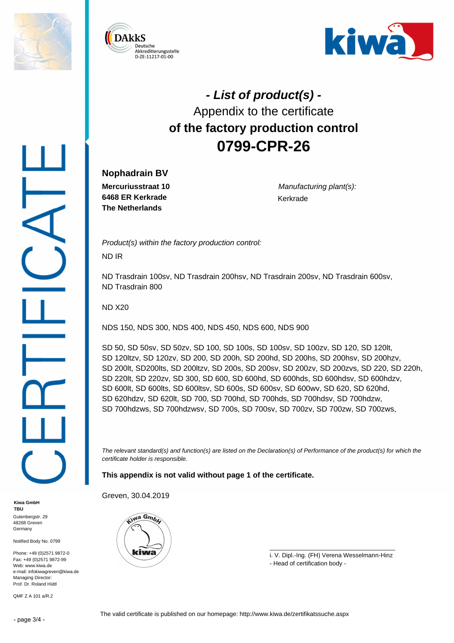





# *- List of product(s) -* Appendix to the certificate **of the factory production control**

**Nophadrain BV**

**Mercuriusstraat 10 6468 ER Kerkrade The Netherlands**

*Manufacturing plant(s):* Kerkrade

*Product(s) within the factory production control:*

ND IR

ND Trasdrain 100sv, ND Trasdrain 200hsv, ND Trasdrain 200sv, ND Trasdrain 600sv, ND Trasdrain 800

ND X20

NDS 150, NDS 300, NDS 400, NDS 450, NDS 600, NDS 900

SD 50, SD 50sv, SD 50zv, SD 100, SD 100s, SD 100sv, SD 100zv, SD 120, SD 120lt, SD 120ltzv, SD 120zv, SD 200, SD 200h, SD 200hd, SD 200hs, SD 200hsv, SD 200hzv, SD 200lt, SD200lts, SD 200ltzv, SD 200s, SD 200sv, SD 200zv, SD 200zvs, SD 220, SD 220h, SD 220lt, SD 220zv, SD 300, SD 600, SD 600hd, SD 600hds, SD 600hdsv, SD 600hdzv, SD 600lt, SD 600lts, SD 600ltsv, SD 600s, SD 600sv, SD 600wv, SD 620, SD 620hd, SD 620hdzv, SD 620lt, SD 700, SD 700hd, SD 700hds, SD 700hdsv, SD 700hdzw, SD 700hdzws, SD 700hdzwsv, SD 700s, SD 700sv, SD 700zv, SD 700zw, SD 700zws, **COTER-26**<br>
Mencuriusstraat 10<br>
Mencuriusstraat 10<br>
The Netherlands<br>
The Netherlands<br>
Froduct(s) within the factory production control:<br>
ND IR<br>
ND Trasdrain 100sv, ND Trasdrain 200hsv, ND Trasdrain 200sv, ND Trasdrain<br>
ND

The relevant standard(s) and function(s) are listed on the Declaration(s) of Performance of the product(s) for which the *certificate holder is responsible.*

**This appendix is not valid without page 1 of the certificate.**

Greven, 30.04.2019



\_\_\_\_\_\_\_\_\_\_\_\_\_\_\_\_\_\_\_\_\_\_\_\_\_\_\_\_\_\_\_\_\_\_\_\_\_ i. V. Dipl.-Ing. (FH) Verena Wesselmann-Hinz - Head of certification body -

**Kiwa GmbH TBU** Gutenbergstr, 29 48268 Greven Germany

Notified Body No. 0799

Phone: +49 (0)2571 9872-0 Fax: +49 (0)2571 9872-99 Web: www.kiwa.de e-mail: infokiwagreven@kiwa.de Managing Director: Prof. Dr. Roland Hüttl

QMF Z A 101 a/R.2